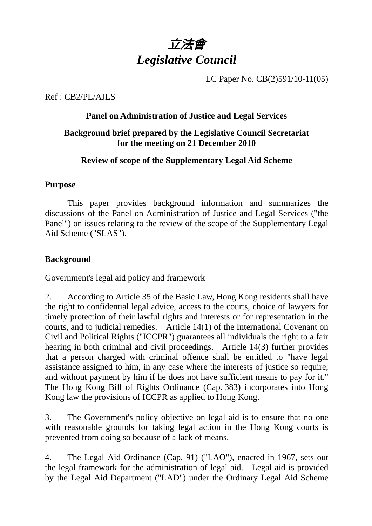

LC Paper No. CB(2)591/10-11(05)

Ref : CB2/PL/AJLS

#### **Panel on Administration of Justice and Legal Services**

#### **Background brief prepared by the Legislative Council Secretariat for the meeting on 21 December 2010**

#### **Review of scope of the Supplementary Legal Aid Scheme**

#### **Purpose**

 This paper provides background information and summarizes the discussions of the Panel on Administration of Justice and Legal Services ("the Panel") on issues relating to the review of the scope of the Supplementary Legal Aid Scheme ("SLAS").

#### **Background**

Government's legal aid policy and framework

2. According to Article 35 of the Basic Law, Hong Kong residents shall have the right to confidential legal advice, access to the courts, choice of lawyers for timely protection of their lawful rights and interests or for representation in the courts, and to judicial remedies. Article 14(1) of the International Covenant on Civil and Political Rights ("ICCPR") guarantees all individuals the right to a fair hearing in both criminal and civil proceedings. Article 14(3) further provides that a person charged with criminal offence shall be entitled to "have legal assistance assigned to him, in any case where the interests of justice so require, and without payment by him if he does not have sufficient means to pay for it." The Hong Kong Bill of Rights Ordinance (Cap. 383) incorporates into Hong Kong law the provisions of ICCPR as applied to Hong Kong.

3. The Government's policy objective on legal aid is to ensure that no one with reasonable grounds for taking legal action in the Hong Kong courts is prevented from doing so because of a lack of means.

4. The Legal Aid Ordinance (Cap. 91) ("LAO"), enacted in 1967, sets out the legal framework for the administration of legal aid. Legal aid is provided by the Legal Aid Department ("LAD") under the Ordinary Legal Aid Scheme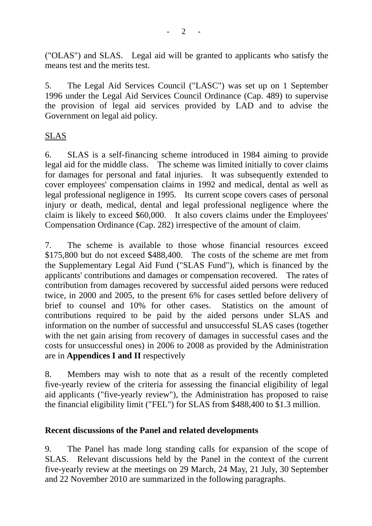("OLAS") and SLAS. Legal aid will be granted to applicants who satisfy the means test and the merits test.

5. The Legal Aid Services Council ("LASC") was set up on 1 September 1996 under the Legal Aid Services Council Ordinance (Cap. 489) to supervise the provision of legal aid services provided by LAD and to advise the Government on legal aid policy.

#### SLAS

6. SLAS is a self-financing scheme introduced in 1984 aiming to provide legal aid for the middle class. The scheme was limited initially to cover claims for damages for personal and fatal injuries. It was subsequently extended to cover employees' compensation claims in 1992 and medical, dental as well as legal professional negligence in 1995. Its current scope covers cases of personal injury or death, medical, dental and legal professional negligence where the claim is likely to exceed \$60,000. It also covers claims under the Employees' Compensation Ordinance (Cap. 282) irrespective of the amount of claim.

7. The scheme is available to those whose financial resources exceed \$175,800 but do not exceed \$488,400. The costs of the scheme are met from the Supplementary Legal Aid Fund ("SLAS Fund"), which is financed by the applicants' contributions and damages or compensation recovered. The rates of contribution from damages recovered by successful aided persons were reduced twice, in 2000 and 2005, to the present 6% for cases settled before delivery of brief to counsel and 10% for other cases. Statistics on the amount of contributions required to be paid by the aided persons under SLAS and information on the number of successful and unsuccessful SLAS cases (together with the net gain arising from recovery of damages in successful cases and the costs for unsuccessful ones) in 2006 to 2008 as provided by the Administration are in **Appendices I and II** respectively

8. Members may wish to note that as a result of the recently completed five-yearly review of the criteria for assessing the financial eligibility of legal aid applicants ("five-yearly review"), the Administration has proposed to raise the financial eligibility limit ("FEL") for SLAS from \$488,400 to \$1.3 million.

#### **Recent discussions of the Panel and related developments**

9. The Panel has made long standing calls for expansion of the scope of SLAS. Relevant discussions held by the Panel in the context of the current five-yearly review at the meetings on 29 March, 24 May, 21 July, 30 September and 22 November 2010 are summarized in the following paragraphs.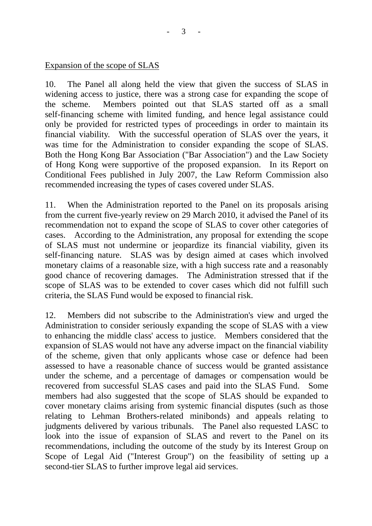#### Expansion of the scope of SLAS

10. The Panel all along held the view that given the success of SLAS in widening access to justice, there was a strong case for expanding the scope of the scheme. Members pointed out that SLAS started off as a small self-financing scheme with limited funding, and hence legal assistance could only be provided for restricted types of proceedings in order to maintain its financial viability. With the successful operation of SLAS over the years, it was time for the Administration to consider expanding the scope of SLAS. Both the Hong Kong Bar Association ("Bar Association") and the Law Society of Hong Kong were supportive of the proposed expansion. In its Report on Conditional Fees published in July 2007, the Law Reform Commission also recommended increasing the types of cases covered under SLAS.

11. When the Administration reported to the Panel on its proposals arising from the current five-yearly review on 29 March 2010, it advised the Panel of its recommendation not to expand the scope of SLAS to cover other categories of cases. According to the Administration, any proposal for extending the scope of SLAS must not undermine or jeopardize its financial viability, given its self-financing nature. SLAS was by design aimed at cases which involved monetary claims of a reasonable size, with a high success rate and a reasonably good chance of recovering damages. The Administration stressed that if the scope of SLAS was to be extended to cover cases which did not fulfill such criteria, the SLAS Fund would be exposed to financial risk.

12. Members did not subscribe to the Administration's view and urged the Administration to consider seriously expanding the scope of SLAS with a view to enhancing the middle class' access to justice. Members considered that the expansion of SLAS would not have any adverse impact on the financial viability of the scheme, given that only applicants whose case or defence had been assessed to have a reasonable chance of success would be granted assistance under the scheme, and a percentage of damages or compensation would be recovered from successful SLAS cases and paid into the SLAS Fund. Some members had also suggested that the scope of SLAS should be expanded to cover monetary claims arising from systemic financial disputes (such as those relating to Lehman Brothers-related minibonds) and appeals relating to judgments delivered by various tribunals. The Panel also requested LASC to look into the issue of expansion of SLAS and revert to the Panel on its recommendations, including the outcome of the study by its Interest Group on Scope of Legal Aid ("Interest Group") on the feasibility of setting up a second-tier SLAS to further improve legal aid services.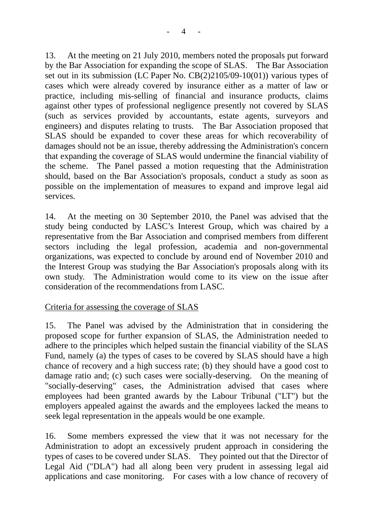13. At the meeting on 21 July 2010, members noted the proposals put forward by the Bar Association for expanding the scope of SLAS. The Bar Association set out in its submission (LC Paper No. CB(2)2105/09-10(01)) various types of cases which were already covered by insurance either as a matter of law or practice, including mis-selling of financial and insurance products, claims against other types of professional negligence presently not covered by SLAS (such as services provided by accountants, estate agents, surveyors and engineers) and disputes relating to trusts. The Bar Association proposed that SLAS should be expanded to cover these areas for which recoverability of damages should not be an issue, thereby addressing the Administration's concern that expanding the coverage of SLAS would undermine the financial viability of the scheme. The Panel passed a motion requesting that the Administration should, based on the Bar Association's proposals, conduct a study as soon as possible on the implementation of measures to expand and improve legal aid services.

14. At the meeting on 30 September 2010, the Panel was advised that the study being conducted by LASC's Interest Group, which was chaired by a representative from the Bar Association and comprised members from different sectors including the legal profession, academia and non-governmental organizations, was expected to conclude by around end of November 2010 and the Interest Group was studying the Bar Association's proposals along with its own study. The Administration would come to its view on the issue after consideration of the recommendations from LASC.

#### Criteria for assessing the coverage of SLAS

15. The Panel was advised by the Administration that in considering the proposed scope for further expansion of SLAS, the Administration needed to adhere to the principles which helped sustain the financial viability of the SLAS Fund, namely (a) the types of cases to be covered by SLAS should have a high chance of recovery and a high success rate; (b) they should have a good cost to damage ratio and; (c) such cases were socially-deserving. On the meaning of "socially-deserving" cases, the Administration advised that cases where employees had been granted awards by the Labour Tribunal ("LT") but the employers appealed against the awards and the employees lacked the means to seek legal representation in the appeals would be one example.

16. Some members expressed the view that it was not necessary for the Administration to adopt an excessively prudent approach in considering the types of cases to be covered under SLAS. They pointed out that the Director of Legal Aid ("DLA") had all along been very prudent in assessing legal aid applications and case monitoring. For cases with a low chance of recovery of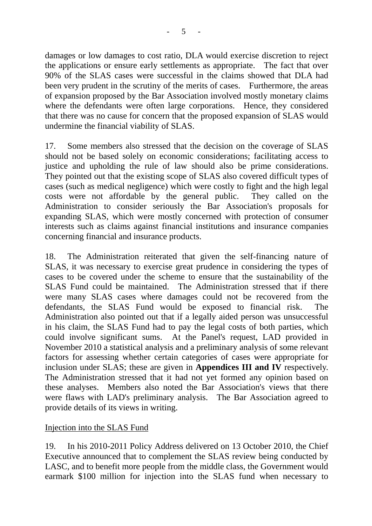damages or low damages to cost ratio, DLA would exercise discretion to reject the applications or ensure early settlements as appropriate. The fact that over 90% of the SLAS cases were successful in the claims showed that DLA had been very prudent in the scrutiny of the merits of cases. Furthermore, the areas of expansion proposed by the Bar Association involved mostly monetary claims where the defendants were often large corporations. Hence, they considered that there was no cause for concern that the proposed expansion of SLAS would undermine the financial viability of SLAS.

17. Some members also stressed that the decision on the coverage of SLAS should not be based solely on economic considerations; facilitating access to justice and upholding the rule of law should also be prime considerations. They pointed out that the existing scope of SLAS also covered difficult types of cases (such as medical negligence) which were costly to fight and the high legal costs were not affordable by the general public. They called on the Administration to consider seriously the Bar Association's proposals for expanding SLAS, which were mostly concerned with protection of consumer interests such as claims against financial institutions and insurance companies concerning financial and insurance products.

18. The Administration reiterated that given the self-financing nature of SLAS, it was necessary to exercise great prudence in considering the types of cases to be covered under the scheme to ensure that the sustainability of the SLAS Fund could be maintained. The Administration stressed that if there were many SLAS cases where damages could not be recovered from the defendants, the SLAS Fund would be exposed to financial risk. The Administration also pointed out that if a legally aided person was unsuccessful in his claim, the SLAS Fund had to pay the legal costs of both parties, which could involve significant sums. At the Panel's request, LAD provided in November 2010 a statistical analysis and a preliminary analysis of some relevant factors for assessing whether certain categories of cases were appropriate for inclusion under SLAS; these are given in **Appendices III and IV** respectively. The Administration stressed that it had not yet formed any opinion based on these analyses. Members also noted the Bar Association's views that there were flaws with LAD's preliminary analysis. The Bar Association agreed to provide details of its views in writing.

### Injection into the SLAS Fund

19. In his 2010-2011 Policy Address delivered on 13 October 2010, the Chief Executive announced that to complement the SLAS review being conducted by LASC, and to benefit more people from the middle class, the Government would earmark \$100 million for injection into the SLAS fund when necessary to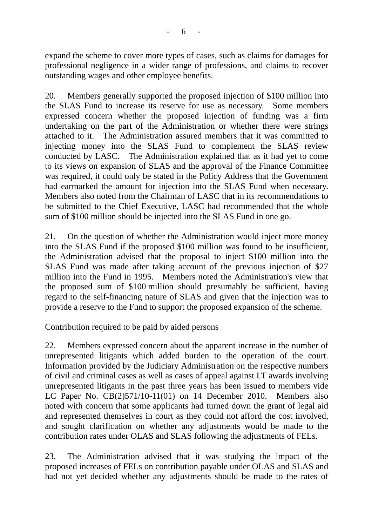expand the scheme to cover more types of cases, such as claims for damages for professional negligence in a wider range of professions, and claims to recover outstanding wages and other employee benefits.

20. Members generally supported the proposed injection of \$100 million into the SLAS Fund to increase its reserve for use as necessary. Some members expressed concern whether the proposed injection of funding was a firm undertaking on the part of the Administration or whether there were strings attached to it. The Administration assured members that it was committed to injecting money into the SLAS Fund to complement the SLAS review conducted by LASC. The Administration explained that as it had yet to come to its views on expansion of SLAS and the approval of the Finance Committee was required, it could only be stated in the Policy Address that the Government had earmarked the amount for injection into the SLAS Fund when necessary. Members also noted from the Chairman of LASC that in its recommendations to be submitted to the Chief Executive, LASC had recommended that the whole sum of \$100 million should be injected into the SLAS Fund in one go.

21. On the question of whether the Administration would inject more money into the SLAS Fund if the proposed \$100 million was found to be insufficient, the Administration advised that the proposal to inject \$100 million into the SLAS Fund was made after taking account of the previous injection of \$27 million into the Fund in 1995. Members noted the Administration's view that the proposed sum of \$100 million should presumably be sufficient, having regard to the self-financing nature of SLAS and given that the injection was to provide a reserve to the Fund to support the proposed expansion of the scheme.

### Contribution required to be paid by aided persons

22. Members expressed concern about the apparent increase in the number of unrepresented litigants which added burden to the operation of the court. Information provided by the Judiciary Administration on the respective numbers of civil and criminal cases as well as cases of appeal against LT awards involving unrepresented litigants in the past three years has been issued to members vide LC Paper No. CB(2)571/10-11(01) on 14 December 2010. Members also noted with concern that some applicants had turned down the grant of legal aid and represented themselves in court as they could not afford the cost involved, and sought clarification on whether any adjustments would be made to the contribution rates under OLAS and SLAS following the adjustments of FELs.

23. The Administration advised that it was studying the impact of the proposed increases of FELs on contribution payable under OLAS and SLAS and had not yet decided whether any adjustments should be made to the rates of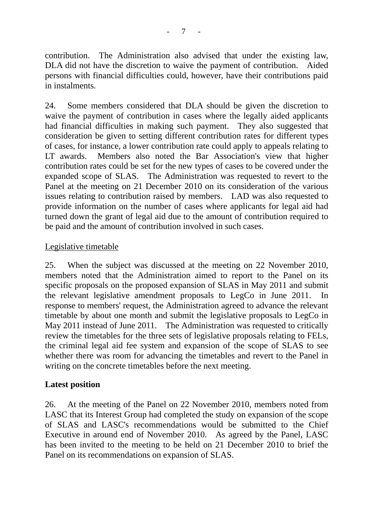contribution. The Administration also advised that under the existing law, DLA did not have the discretion to waive the payment of contribution. Aided persons with financial difficulties could, however, have their contributions paid in instalments.

24. Some members considered that DLA should be given the discretion to waive the payment of contribution in cases where the legally aided applicants had financial difficulties in making such payment. They also suggested that consideration be given to setting different contribution rates for different types of cases, for instance, a lower contribution rate could apply to appeals relating to LT awards. Members also noted the Bar Association's view that higher contribution rates could be set for the new types of cases to be covered under the expanded scope of SLAS. The Administration was requested to revert to the Panel at the meeting on 21 December 2010 on its consideration of the various issues relating to contribution raised by members. LAD was also requested to provide information on the number of cases where applicants for legal aid had turned down the grant of legal aid due to the amount of contribution required to be paid and the amount of contribution involved in such cases.

#### Legislative timetable

25. When the subject was discussed at the meeting on 22 November 2010, members noted that the Administration aimed to report to the Panel on its specific proposals on the proposed expansion of SLAS in May 2011 and submit the relevant legislative amendment proposals to LegCo in June 2011. In response to members' request, the Administration agreed to advance the relevant timetable by about one month and submit the legislative proposals to LegCo in May 2011 instead of June 2011. The Administration was requested to critically review the timetables for the three sets of legislative proposals relating to FELs, the criminal legal aid fee system and expansion of the scope of SLAS to see whether there was room for advancing the timetables and revert to the Panel in writing on the concrete timetables before the next meeting.

#### **Latest position**

26. At the meeting of the Panel on 22 November 2010, members noted from LASC that its Interest Group had completed the study on expansion of the scope of SLAS and LASC's recommendations would be submitted to the Chief Executive in around end of November 2010. As agreed by the Panel, LASC has been invited to the meeting to be held on 21 December 2010 to brief the Panel on its recommendations on expansion of SLAS.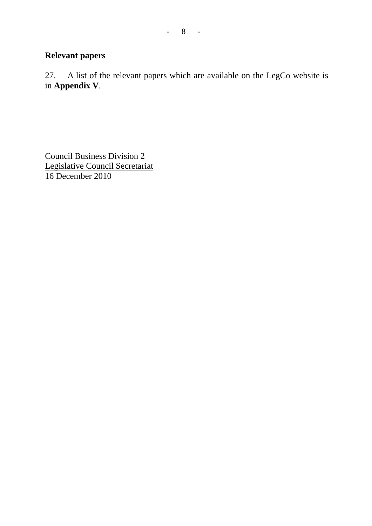# **Relevant papers**

27. A list of the relevant papers which are available on the LegCo website is in **Appendix V**.

Council Business Division 2 Legislative Council Secretariat 16 December 2010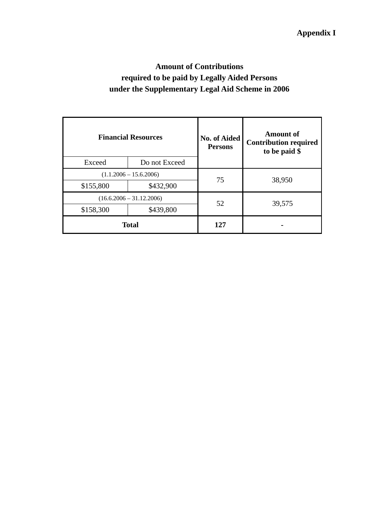# **Amount of Contributions required to be paid by Legally Aided Persons under the Supplementary Legal Aid Scheme in 2006**

|           | <b>Financial Resources</b> | <b>No. of Aided</b><br><b>Persons</b> | <b>Amount of</b><br><b>Contribution required</b><br>to be paid \$ |  |
|-----------|----------------------------|---------------------------------------|-------------------------------------------------------------------|--|
| Exceed    | Do not Exceed              |                                       |                                                                   |  |
|           | $(1.1.2006 - 15.6.2006)$   | 75                                    | 38,950                                                            |  |
| \$155,800 | \$432,900                  |                                       |                                                                   |  |
|           | $(16.6.2006 - 31.12.2006)$ | 52                                    | 39,575                                                            |  |
| \$158,300 | \$439,800                  |                                       |                                                                   |  |
|           | <b>Total</b>               | 127                                   |                                                                   |  |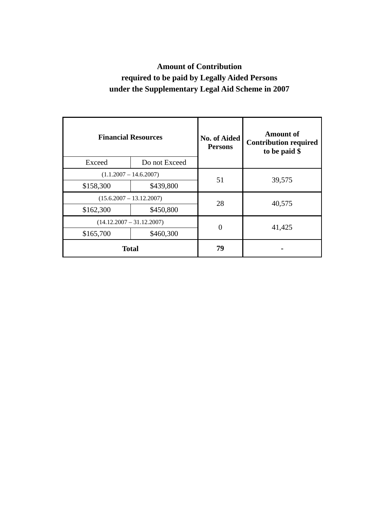# **Amount of Contribution required to be paid by Legally Aided Persons under the Supplementary Legal Aid Scheme in 2007**

| <b>Financial Resources</b>  |               | <b>No. of Aided</b><br><b>Persons</b> | Amount of<br><b>Contribution required</b><br>to be paid \$ |  |
|-----------------------------|---------------|---------------------------------------|------------------------------------------------------------|--|
| Exceed                      | Do not Exceed |                                       |                                                            |  |
| $(1.1.2007 - 14.6.2007)$    |               | 51                                    | 39,575                                                     |  |
| \$158,300                   | \$439,800     |                                       |                                                            |  |
| $(15.6.2007 - 13.12.2007)$  |               | 28                                    | 40,575                                                     |  |
| \$162,300                   | \$450,800     |                                       |                                                            |  |
| $(14.12.2007 - 31.12.2007)$ |               |                                       |                                                            |  |
| \$165,700                   | \$460,300     |                                       | 41,425                                                     |  |
| <b>Total</b>                |               | 79                                    |                                                            |  |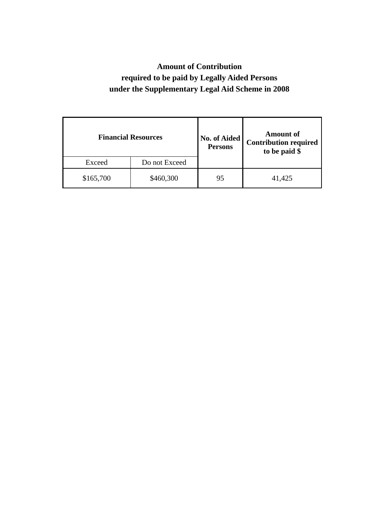# **Amount of Contribution required to be paid by Legally Aided Persons under the Supplementary Legal Aid Scheme in 2008**

|           | <b>Financial Resources</b> | No. of Aided<br><b>Persons</b> | <b>Amount of</b><br><b>Contribution required</b><br>to be paid \$ |
|-----------|----------------------------|--------------------------------|-------------------------------------------------------------------|
| Exceed    | Do not Exceed              |                                |                                                                   |
| \$165,700 | \$460,300                  | 95                             | 41,425                                                            |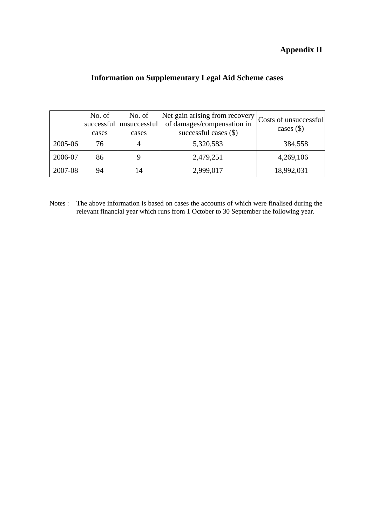### **Appendix II**

### **Information on Supplementary Legal Aid Scheme cases**

|         | No. of<br>cases | No. of<br>successful unsuccessful<br>cases | Net gain arising from recovery<br>of damages/compensation in<br>successful cases $(\$)$ | Costs of unsuccessful<br>cases $(\$)$ |
|---------|-----------------|--------------------------------------------|-----------------------------------------------------------------------------------------|---------------------------------------|
| 2005-06 | 76              |                                            | 5,320,583                                                                               | 384,558                               |
| 2006-07 | 86              |                                            | 2,479,251                                                                               | 4,269,106                             |
| 2007-08 | 94              | 14                                         | 2,999,017                                                                               | 18,992,031                            |

Notes : The above information is based on cases the accounts of which were finalised during the relevant financial year which runs from 1 October to 30 September the following year.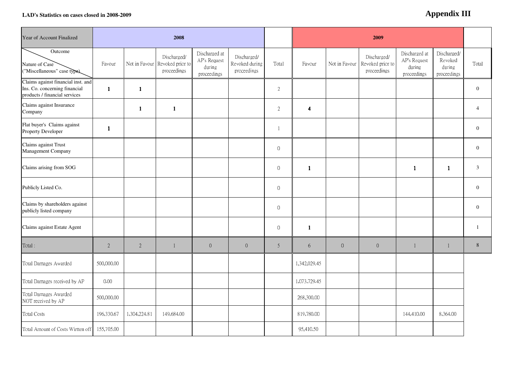#### **LAD's Statistics on cases closed in 2008-2009**

#### **Append Append Appendix III**

| Year of Account Finalized                                                                            | 2008         |                |                                                              |                                                        |                                              |                  |                      | 2009             |                                                              |                                                        |                                                 |                |
|------------------------------------------------------------------------------------------------------|--------------|----------------|--------------------------------------------------------------|--------------------------------------------------------|----------------------------------------------|------------------|----------------------|------------------|--------------------------------------------------------------|--------------------------------------------------------|-------------------------------------------------|----------------|
| Outcome<br>Nature of Case<br>("Miscellaneous" case type).                                            | Favour       |                | Discharged/<br>Not in Favour Revoked prior to<br>proceedings | Discharged at<br>AP's Request<br>during<br>proceedings | Discharged/<br>Revoked during<br>proceedings | Total            | Favour               |                  | Discharged/<br>Not in Favour Revoked prior to<br>proceedings | Discharged at<br>AP's Request<br>during<br>proceedings | Discharged/<br>Revoked<br>during<br>proceedings | Total          |
| Claims against financial inst. and<br>Ins. Co. concerning financial<br>products / financial services | $\mathbf{1}$ | $\mathbf{1}$   |                                                              |                                                        |                                              | $\overline{2}$   |                      |                  |                                                              |                                                        |                                                 | $\theta$       |
| Claims against Insurance<br>Company                                                                  |              | $\mathbf{1}$   | $\mathbf{1}$                                                 |                                                        |                                              | 2                | $\blacktriangleleft$ |                  |                                                              |                                                        |                                                 | $\overline{4}$ |
| Flat buyer's Claims against<br>Property Developer                                                    | $\mathbf{1}$ |                |                                                              |                                                        |                                              | $\mathbf{1}$     |                      |                  |                                                              |                                                        |                                                 | $\mathbf{0}$   |
| Claims against Trust<br>Management Company                                                           |              |                |                                                              |                                                        |                                              | $\boldsymbol{0}$ |                      |                  |                                                              |                                                        |                                                 | $\mathbf{0}$   |
| Claims arising from SOG                                                                              |              |                |                                                              |                                                        |                                              | $\boldsymbol{0}$ | $\mathbf{1}$         |                  |                                                              | $\mathbf{1}$                                           | $\mathbf{1}$                                    | $\mathbf{3}$   |
| Publicly Listed Co.                                                                                  |              |                |                                                              |                                                        |                                              | $\boldsymbol{0}$ |                      |                  |                                                              |                                                        |                                                 | $\theta$       |
| Claims by shareholders against<br>publicly listed company                                            |              |                |                                                              |                                                        |                                              | $\boldsymbol{0}$ |                      |                  |                                                              |                                                        |                                                 | $\mathbf{0}$   |
| Claims against Estate Agent                                                                          |              |                |                                                              |                                                        |                                              | $\boldsymbol{0}$ | $\mathbf{1}$         |                  |                                                              |                                                        |                                                 | $\mathbf{1}$   |
| Total:                                                                                               | $\sqrt{2}$   | $\overline{2}$ | $\mathbf{1}$                                                 | $\sqrt{0}$                                             | $\boldsymbol{0}$                             | 5                | 6                    | $\boldsymbol{0}$ | $\overline{0}$                                               | $\mathbf{1}$                                           | $\mathbf{1}$                                    | $8\,$          |
| Total Damages Awarded                                                                                | 500,000.00   |                |                                                              |                                                        |                                              |                  | 1,342,029.45         |                  |                                                              |                                                        |                                                 |                |
| Total Damages received by AP                                                                         | 0.00         |                |                                                              |                                                        |                                              |                  | 1,073,729.45         |                  |                                                              |                                                        |                                                 |                |
| Total Damages Awarded<br>NOT received by AP                                                          | 500,000.00   |                |                                                              |                                                        |                                              |                  | 268,300.00           |                  |                                                              |                                                        |                                                 |                |
| Total Costs                                                                                          | 196,330.67   | 1,304,224.81   | 149,684.00                                                   |                                                        |                                              |                  | 819,780.00           |                  |                                                              | 144,410.00                                             | 8,364.00                                        |                |
| Total Amount of Costs Wirtten off                                                                    | 155,705.00   |                |                                                              |                                                        |                                              |                  | 95,410.50            |                  |                                                              |                                                        |                                                 |                |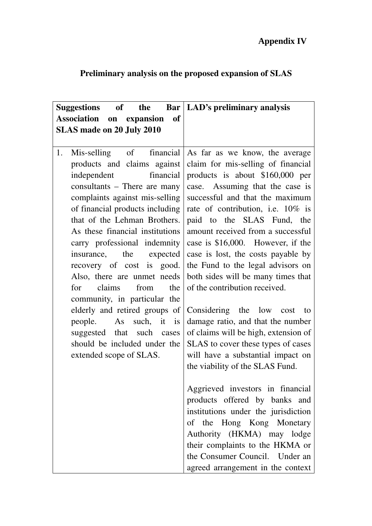| of the<br><b>Suggestions</b><br><b>Association</b><br>on expansion of<br><b>SLAS made on 20 July 2010</b>                                                                                                                                                                                                                                                                                                                                                                                                                                                                       | <b>Bar</b>   LAD's preliminary analysis                                                                                                                                                                                                                                                                                                                                                                                                                                                                                                                                                                                                                                                                                                                                                                                                                                                                                                                                                                          |
|---------------------------------------------------------------------------------------------------------------------------------------------------------------------------------------------------------------------------------------------------------------------------------------------------------------------------------------------------------------------------------------------------------------------------------------------------------------------------------------------------------------------------------------------------------------------------------|------------------------------------------------------------------------------------------------------------------------------------------------------------------------------------------------------------------------------------------------------------------------------------------------------------------------------------------------------------------------------------------------------------------------------------------------------------------------------------------------------------------------------------------------------------------------------------------------------------------------------------------------------------------------------------------------------------------------------------------------------------------------------------------------------------------------------------------------------------------------------------------------------------------------------------------------------------------------------------------------------------------|
| 1.<br>products and claims against<br>financial<br>independent<br>consultants – There are many<br>complaints against mis-selling<br>of financial products including<br>that of the Lehman Brothers.<br>As these financial institutions<br>carry professional indemnity<br>insurance, the expected<br>recovery of cost is good.<br>Also, there are unmet needs<br>claims<br>from<br>the<br>for<br>community, in particular the<br>elderly and retired groups of<br>people. As such, it is<br>suggested that such cases<br>should be included under the<br>extended scope of SLAS. | Mis-selling of financial As far as we know, the average<br>claim for mis-selling of financial<br>products is about \$160,000 per<br>case. Assuming that the case is<br>successful and that the maximum<br>rate of contribution, i.e. 10% is<br>paid to the SLAS Fund, the<br>amount received from a successful<br>case is \$16,000. However, if the<br>case is lost, the costs payable by<br>the Fund to the legal advisors on<br>both sides will be many times that<br>of the contribution received.<br>Considering the low cost to<br>damage ratio, and that the number<br>of claims will be high, extension of<br>SLAS to cover these types of cases<br>will have a substantial impact on<br>the viability of the SLAS Fund.<br>Aggrieved investors in financial<br>products offered by banks and<br>institutions under the jurisdiction<br>of the Hong Kong Monetary<br>Authority (HKMA) may lodge<br>their complaints to the HKMA or<br>the Consumer Council. Under an<br>agreed arrangement in the context |

# **Preliminary analysis on the proposed expansion of SLAS**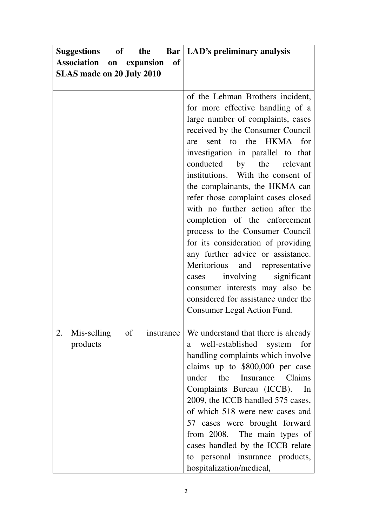| Suggestions of the<br>Bar                                                        | <b>LAD's preliminary analysis</b>                                                                                                                                                                                                                                                                                                                                                                                                                                                                                                                                                                                                                                                                                             |
|----------------------------------------------------------------------------------|-------------------------------------------------------------------------------------------------------------------------------------------------------------------------------------------------------------------------------------------------------------------------------------------------------------------------------------------------------------------------------------------------------------------------------------------------------------------------------------------------------------------------------------------------------------------------------------------------------------------------------------------------------------------------------------------------------------------------------|
| <b>of</b><br><b>Association on expansion</b><br><b>SLAS made on 20 July 2010</b> |                                                                                                                                                                                                                                                                                                                                                                                                                                                                                                                                                                                                                                                                                                                               |
|                                                                                  | of the Lehman Brothers incident,<br>for more effective handling of a<br>large number of complaints, cases<br>received by the Consumer Council<br>sent to the HKMA for<br>are<br>investigation in parallel to that<br>conducted by the relevant<br>institutions. With the consent of<br>the complainants, the HKMA can<br>refer those complaint cases closed<br>with no further action after the<br>completion of the enforcement<br>process to the Consumer Council<br>for its consideration of providing<br>any further advice or assistance.<br>Meritorious<br>and representative<br>involving significant<br>cases<br>consumer interests may also be<br>considered for assistance under the<br>Consumer Legal Action Fund. |
| of<br>Mis-selling<br>2.<br>insurance<br>products                                 | We understand that there is already<br>well-established system<br>for<br>a<br>handling complaints which involve<br>claims up to \$800,000 per case<br>the Insurance<br>under<br>Claims<br>Complaints Bureau (ICCB).<br>In<br>2009, the ICCB handled 575 cases,<br>of which 518 were new cases and<br>57 cases were brought forward<br>from 2008. The main types of<br>cases handled by the ICCB relate<br>to personal insurance products,<br>hospitalization/medical,                                                                                                                                                                                                                                                         |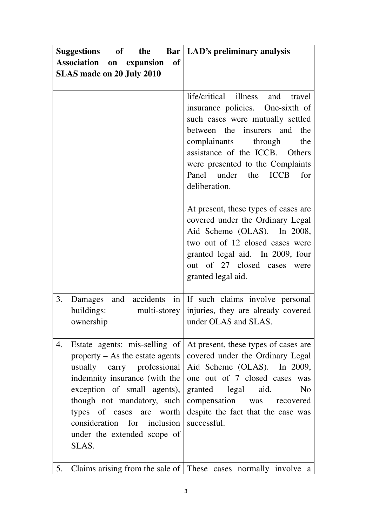| <b>Suggestions</b><br>of the                                                                                                                                                                                                                                           | <b>Bar</b>   LAD's preliminary analysis                                                                                                                                                                                                                                                                                                                                                                                                                                                                                                 |
|------------------------------------------------------------------------------------------------------------------------------------------------------------------------------------------------------------------------------------------------------------------------|-----------------------------------------------------------------------------------------------------------------------------------------------------------------------------------------------------------------------------------------------------------------------------------------------------------------------------------------------------------------------------------------------------------------------------------------------------------------------------------------------------------------------------------------|
| Association on expansion<br><b>of</b>                                                                                                                                                                                                                                  |                                                                                                                                                                                                                                                                                                                                                                                                                                                                                                                                         |
| <b>SLAS made on 20 July 2010</b>                                                                                                                                                                                                                                       |                                                                                                                                                                                                                                                                                                                                                                                                                                                                                                                                         |
|                                                                                                                                                                                                                                                                        | life/critical illness and travel<br>insurance policies. One-sixth of<br>such cases were mutually settled<br>between the insurers and<br>the<br>complainants through<br>the<br>assistance of the ICCB. Others<br>were presented to the Complaints<br>Panel under the ICCB<br>for<br>deliberation.<br>At present, these types of cases are<br>covered under the Ordinary Legal<br>Aid Scheme (OLAS). In 2008,<br>two out of 12 closed cases were<br>granted legal aid. In 2009, four<br>out of 27 closed cases were<br>granted legal aid. |
| 3.<br>and<br>Damages<br>buildings:<br>multi-storey<br>ownership                                                                                                                                                                                                        | accidents in If such claims involve personal<br>injuries, they are already covered<br>under OLAS and SLAS.                                                                                                                                                                                                                                                                                                                                                                                                                              |
| 4.<br>property $-$ As the estate agents<br>usually carry professional<br>indemnity insurance (with the<br>exception of small agents),<br>though not mandatory, such<br>types of cases are worth<br>consideration for inclusion<br>under the extended scope of<br>SLAS. | Estate agents: mis-selling of At present, these types of cases are<br>covered under the Ordinary Legal<br>Aid Scheme (OLAS). In 2009,<br>one out of 7 closed cases was<br>N <sub>0</sub><br>granted legal aid.<br>compensation was recovered<br>despite the fact that the case was<br>successful.                                                                                                                                                                                                                                       |
| 5.                                                                                                                                                                                                                                                                     | Claims arising from the sale of These cases normally involve a                                                                                                                                                                                                                                                                                                                                                                                                                                                                          |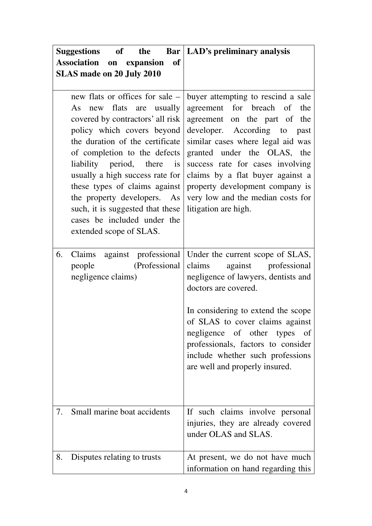|    | of the<br><b>Suggestions</b>                                                                                                                                                                                                                                                                                                                                                                                                       | <b>Bar   LAD's preliminary analysis</b>                                                                                                                                                                                                                                                                                                                                             |
|----|------------------------------------------------------------------------------------------------------------------------------------------------------------------------------------------------------------------------------------------------------------------------------------------------------------------------------------------------------------------------------------------------------------------------------------|-------------------------------------------------------------------------------------------------------------------------------------------------------------------------------------------------------------------------------------------------------------------------------------------------------------------------------------------------------------------------------------|
|    | Association on expansion<br><b>of</b>                                                                                                                                                                                                                                                                                                                                                                                              |                                                                                                                                                                                                                                                                                                                                                                                     |
|    | <b>SLAS made on 20 July 2010</b>                                                                                                                                                                                                                                                                                                                                                                                                   |                                                                                                                                                                                                                                                                                                                                                                                     |
|    | new flats or offices for sale –<br>new flats are usually<br>As<br>covered by contractors' all risk<br>policy which covers beyond<br>the duration of the certificate<br>of completion to the defects<br>liability period, there is<br>usually a high success rate for<br>these types of claims against<br>the property developers. As<br>such, it is suggested that these<br>cases be included under the<br>extended scope of SLAS. | buyer attempting to rescind a sale<br>agreement for breach of<br>the<br>agreement on the part of<br>the<br>developer. According to past<br>similar cases where legal aid was<br>granted under the OLAS, the<br>success rate for cases involving<br>claims by a flat buyer against a<br>property development company is<br>very low and the median costs for<br>litigation are high. |
| 6. | against professional<br>Claims<br>(Professional<br>people<br>negligence claims)                                                                                                                                                                                                                                                                                                                                                    | Under the current scope of SLAS,<br>against<br>professional<br>claims<br>negligence of lawyers, dentists and<br>doctors are covered.<br>In considering to extend the scope<br>of SLAS to cover claims against<br>negligence of other types of<br>professionals, factors to consider<br>include whether such professions<br>are well and properly insured.                           |
| 7. | Small marine boat accidents                                                                                                                                                                                                                                                                                                                                                                                                        | If such claims involve personal<br>injuries, they are already covered<br>under OLAS and SLAS.                                                                                                                                                                                                                                                                                       |
| 8. | Disputes relating to trusts                                                                                                                                                                                                                                                                                                                                                                                                        | At present, we do not have much<br>information on hand regarding this                                                                                                                                                                                                                                                                                                               |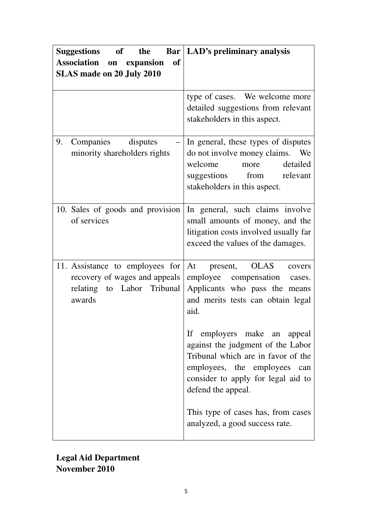| <b>Suggestions</b><br>of<br>the                                                                          | <b>Bar</b>   LAD's preliminary analysis                                                                                                                                                            |
|----------------------------------------------------------------------------------------------------------|----------------------------------------------------------------------------------------------------------------------------------------------------------------------------------------------------|
| <b>Association</b><br>on expansion<br><b>of</b><br><b>SLAS made on 20 July 2010</b>                      |                                                                                                                                                                                                    |
|                                                                                                          | type of cases. We welcome more<br>detailed suggestions from relevant<br>stakeholders in this aspect.                                                                                               |
| Companies disputes<br>9.<br>minority shareholders rights                                                 | In general, these types of disputes<br>do not involve money claims. We<br>welcome<br>detailed<br>more<br>suggestions from relevant<br>stakeholders in this aspect.                                 |
| 10. Sales of goods and provision<br>of services                                                          | In general, such claims involve<br>small amounts of money, and the<br>litigation costs involved usually far<br>exceed the values of the damages.                                                   |
| 11. Assistance to employees for<br>recovery of wages and appeals<br>relating to Labor Tribunal<br>awards | At present, OLAS<br>covers<br>employee compensation<br>cases.<br>Applicants who pass the means<br>and merits tests can obtain legal<br>aid.                                                        |
|                                                                                                          | If employers make an appeal<br>against the judgment of the Labor<br>Tribunal which are in favor of the<br>employees, the employees can<br>consider to apply for legal aid to<br>defend the appeal. |
|                                                                                                          | This type of cases has, from cases<br>analyzed, a good success rate.                                                                                                                               |

**Legal Aid Department November 2010**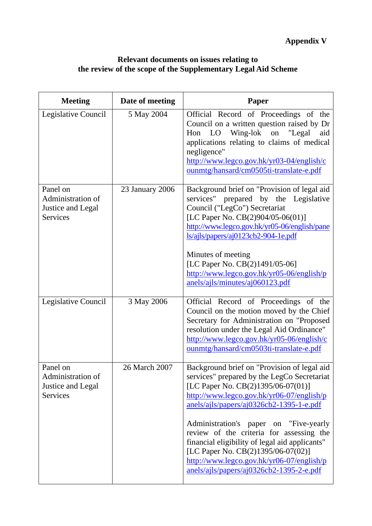#### **Relevant documents on issues relating to the review of the scope of the Supplementary Legal Aid Scheme**

| <b>Meeting</b>                                                        | Date of meeting | <b>Paper</b>                                                                                                                                                                                                                                                                                                                                                                                                                                                                                     |
|-----------------------------------------------------------------------|-----------------|--------------------------------------------------------------------------------------------------------------------------------------------------------------------------------------------------------------------------------------------------------------------------------------------------------------------------------------------------------------------------------------------------------------------------------------------------------------------------------------------------|
| Legislative Council                                                   | 5 May 2004      | Official Record of Proceedings of the<br>Council on a written question raised by Dr<br>Wing-lok<br>"Legal<br>Hon LO<br>on<br>aid<br>applications relating to claims of medical<br>negligence"<br>http://www.legco.gov.hk/yr03-04/english/c<br>ounmtg/hansard/cm0505ti-translate-e.pdf                                                                                                                                                                                                            |
| Panel on<br>Administration of<br>Justice and Legal<br><b>Services</b> | 23 January 2006 | Background brief on "Provision of legal aid<br>services" prepared by the Legislative<br>Council ("LegCo") Secretariat<br>[LC Paper No. CB(2)904/05-06(01)]<br>http://www.legco.gov.hk/yr05-06/english/pane<br>ls/ajls/papers/aj0123cb2-904-1e.pdf<br>Minutes of meeting<br>[LC Paper No. CB(2)1491/05-06]<br>http://www.legco.gov.hk/yr05-06/english/p<br>anels/ajls/minutes/aj060123.pdf                                                                                                        |
| Legislative Council                                                   | 3 May 2006      | Official Record of Proceedings of the<br>Council on the motion moved by the Chief<br>Secretary for Administration on "Proposed<br>resolution under the Legal Aid Ordinance"<br>http://www.legco.gov.hk/yr05-06/english/c<br>ounmtg/hansard/cm0503ti-translate-e.pdf                                                                                                                                                                                                                              |
| Panel on<br>Administration of<br>Justice and Legal<br><b>Services</b> | 26 March 2007   | Background brief on "Provision of legal aid<br>services" prepared by the LegCo Secretariat<br>[LC Paper No. CB(2)1395/06-07(01)]<br>http://www.legco.gov.hk/yr06-07/english/p<br>anels/ails/papers/ai0326cb2-1395-1-e.pdf<br>Administration's paper on "Five-yearly<br>review of the criteria for assessing the<br>financial eligibility of legal aid applicants"<br>[LC Paper No. CB(2)1395/06-07(02)]<br>http://www.legco.gov.hk/yr06-07/english/p<br>anels/ajls/papers/aj0326cb2-1395-2-e.pdf |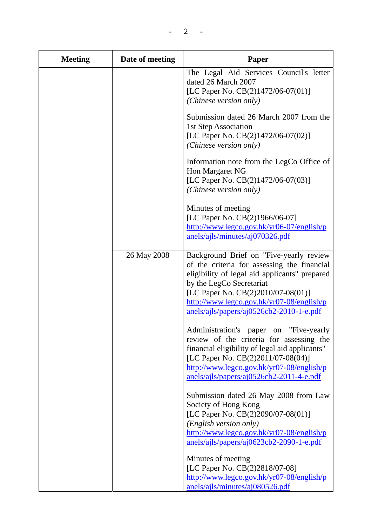| <b>Meeting</b> | Date of meeting | <b>Paper</b>                                                                                                                                                                                                                                                                                       |
|----------------|-----------------|----------------------------------------------------------------------------------------------------------------------------------------------------------------------------------------------------------------------------------------------------------------------------------------------------|
|                |                 | The Legal Aid Services Council's letter<br>dated 26 March 2007<br>[LC Paper No. CB(2)1472/06-07(01)]<br>(Chinese version only)                                                                                                                                                                     |
|                |                 | Submission dated 26 March 2007 from the<br>1st Step Association<br>[LC Paper No. CB(2)1472/06-07(02)]<br>(Chinese version only)                                                                                                                                                                    |
|                |                 | Information note from the LegCo Office of<br>Hon Margaret NG<br>[LC Paper No. CB(2)1472/06-07(03)]<br>(Chinese version only)                                                                                                                                                                       |
|                |                 | Minutes of meeting<br>[LC Paper No. CB(2)1966/06-07]<br>http://www.legco.gov.hk/yr06-07/english/p<br>anels/ajls/minutes/aj070326.pdf                                                                                                                                                               |
|                | 26 May 2008     | Background Brief on "Five-yearly review<br>of the criteria for assessing the financial<br>eligibility of legal aid applicants" prepared<br>by the LegCo Secretariat<br>[LC Paper No. CB(2)2010/07-08(01)]<br>http://www.legco.gov.hk/yr07-08/english/p<br>anels/ajls/papers/aj0526cb2-2010-1-e.pdf |
|                |                 | Administration's paper on "Five-yearly<br>review of the criteria for assessing the<br>financial eligibility of legal aid applicants"<br>[LC Paper No. CB(2)2011/07-08(04)]<br>http://www.legco.gov.hk/yr07-08/english/p<br>anels/ajls/papers/aj0526cb2-2011-4-e.pdf                                |
|                |                 | Submission dated 26 May 2008 from Law<br>Society of Hong Kong<br>[LC Paper No. CB(2)2090/07-08(01)]<br>(English version only)<br>http://www.legco.gov.hk/yr07-08/english/p                                                                                                                         |

anels/ajls/papers/aj0623cb2-2090-1-e.pdf Minutes of meeting

[LC Paper No. CB(2)2818/07-08] [http://www.legco.gov.hk/yr07-08/english/p](http://www.legco.gov.hk/yr07-08/english/panels/ajls/minutes/aj080526.pdf) anels/ajls/minutes/aj080526.pdf

 $2 -$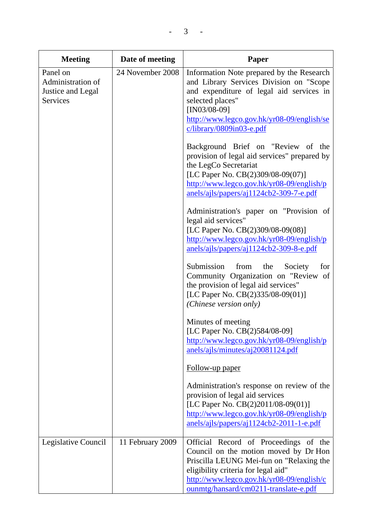| <b>Meeting</b>                                                 | Date of meeting  | Paper                                                                                                                                                                                                                                                                                                                                                                                                                                                                                                                                                                                                                                                                                                                                                                                                                                                                                                                                                                                                                                                   |
|----------------------------------------------------------------|------------------|---------------------------------------------------------------------------------------------------------------------------------------------------------------------------------------------------------------------------------------------------------------------------------------------------------------------------------------------------------------------------------------------------------------------------------------------------------------------------------------------------------------------------------------------------------------------------------------------------------------------------------------------------------------------------------------------------------------------------------------------------------------------------------------------------------------------------------------------------------------------------------------------------------------------------------------------------------------------------------------------------------------------------------------------------------|
| Panel on<br>Administration of<br>Justice and Legal<br>Services | 24 November 2008 | Information Note prepared by the Research<br>and Library Services Division on "Scope<br>and expenditure of legal aid services in<br>selected places"<br>$[IN03/08-09]$<br>http://www.legco.gov.hk/yr08-09/english/se<br>$c/library/0809in03-e.pdf$<br>Background Brief on "Review of the<br>provision of legal aid services" prepared by<br>the LegCo Secretariat<br>[LC Paper No. CB(2)309/08-09(07)]<br>http://www.legco.gov.hk/yr08-09/english/p<br>anels/ajls/papers/aj1124cb2-309-7-e.pdf<br>Administration's paper on "Provision of<br>legal aid services"<br>[LC Paper No. CB(2)309/08-09(08)]<br>http://www.legco.gov.hk/yr08-09/english/p<br>anels/ajls/papers/aj1124cb2-309-8-e.pdf<br>Submission<br>from<br>the<br>Society<br>for<br>Community Organization on "Review of<br>the provision of legal aid services"<br>[LC Paper No. CB(2)335/08-09(01)]<br>(Chinese version only)<br>Minutes of meeting<br>[LC Paper No. CB(2)584/08-09]<br>http://www.legco.gov.hk/yr08-09/english/p<br>anels/ajls/minutes/aj20081124.pdf<br>Follow-up paper |
|                                                                |                  | Administration's response on review of the<br>provision of legal aid services<br>[LC Paper No. CB(2)2011/08-09(01)]<br>http://www.legco.gov.hk/yr08-09/english/p<br>anels/ajls/papers/aj1124cb2-2011-1-e.pdf                                                                                                                                                                                                                                                                                                                                                                                                                                                                                                                                                                                                                                                                                                                                                                                                                                            |
| Legislative Council                                            | 11 February 2009 | Official Record of Proceedings of the<br>Council on the motion moved by Dr Hon<br>Priscilla LEUNG Mei-fun on "Relaxing the<br>eligibility criteria for legal aid"<br>http://www.legco.gov.hk/yr08-09/english/c<br>ounmtg/hansard/cm0211-translate-e.pdf                                                                                                                                                                                                                                                                                                                                                                                                                                                                                                                                                                                                                                                                                                                                                                                                 |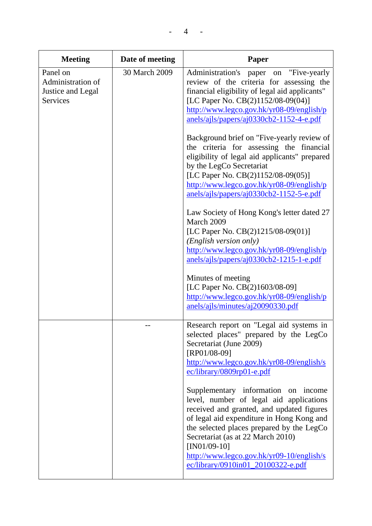| <b>Meeting</b>                                                 | Date of meeting | <b>Paper</b>                                                                                                                                                                                                                                                                                                                                                                                                                                                                                                                                                                                                                                                                                                                                                                                                                                                                                                                             |
|----------------------------------------------------------------|-----------------|------------------------------------------------------------------------------------------------------------------------------------------------------------------------------------------------------------------------------------------------------------------------------------------------------------------------------------------------------------------------------------------------------------------------------------------------------------------------------------------------------------------------------------------------------------------------------------------------------------------------------------------------------------------------------------------------------------------------------------------------------------------------------------------------------------------------------------------------------------------------------------------------------------------------------------------|
| Panel on<br>Administration of<br>Justice and Legal<br>Services | 30 March 2009   | Administration's paper on "Five-yearly<br>review of the criteria for assessing the<br>financial eligibility of legal aid applicants"<br>[LC Paper No. CB(2)1152/08-09(04)]<br>http://www.legco.gov.hk/yr08-09/english/p<br>anels/ajls/papers/aj0330cb2-1152-4-e.pdf<br>Background brief on "Five-yearly review of<br>the criteria for assessing the financial<br>eligibility of legal aid applicants" prepared<br>by the LegCo Secretariat<br>[LC Paper No. CB(2)1152/08-09(05)]<br>http://www.legco.gov.hk/yr08-09/english/p<br>anels/ajls/papers/aj0330cb2-1152-5-e.pdf<br>Law Society of Hong Kong's letter dated 27<br>March 2009<br>[LC Paper No. CB(2)1215/08-09(01)]<br>(English version only)<br>http://www.legco.gov.hk/yr08-09/english/p<br>anels/ajls/papers/aj0330cb2-1215-1-e.pdf<br>Minutes of meeting<br>[LC Paper No. CB(2)1603/08-09]<br>http://www.legco.gov.hk/yr08-09/english/p<br>anels/ajls/minutes/aj20090330.pdf |
|                                                                |                 | Research report on "Legal aid systems in<br>selected places" prepared by the LegCo<br>Secretariat (June 2009)<br>[RP01/08-09]<br>http://www.legco.gov.hk/yr08-09/english/s<br>$ec/library/0809rp01-e.pdf$<br>Supplementary information<br>on income<br>level, number of legal aid applications<br>received and granted, and updated figures<br>of legal aid expenditure in Hong Kong and<br>the selected places prepared by the LegCo<br>Secretariat (as at 22 March 2010)<br>$[IN01/09-10]$<br>http://www.legco.gov.hk/yr09-10/english/s<br>ec/library/0910in01_20100322-e.pdf                                                                                                                                                                                                                                                                                                                                                          |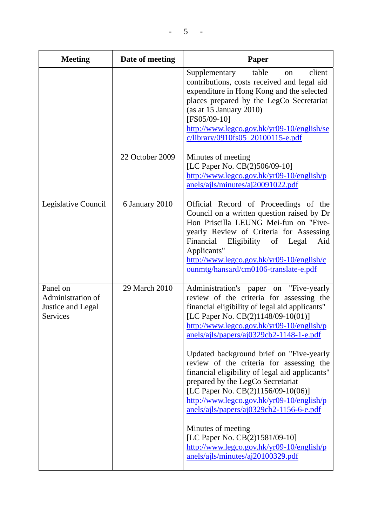| <b>Meeting</b>                                                 | Date of meeting | Paper                                                                                                                                                                                                                                                                                                                                                                                                                                                                                                                                                                                                                                                                                                                       |
|----------------------------------------------------------------|-----------------|-----------------------------------------------------------------------------------------------------------------------------------------------------------------------------------------------------------------------------------------------------------------------------------------------------------------------------------------------------------------------------------------------------------------------------------------------------------------------------------------------------------------------------------------------------------------------------------------------------------------------------------------------------------------------------------------------------------------------------|
|                                                                |                 | client<br>table<br>Supplementary<br><sub>on</sub><br>contributions, costs received and legal aid<br>expenditure in Hong Kong and the selected<br>places prepared by the LegCo Secretariat<br>(as at $15$ January $2010$ )<br>[FS05/09-10]<br>http://www.legco.gov.hk/yr09-10/english/se<br>c/library/0910fs05_20100115-e.pdf                                                                                                                                                                                                                                                                                                                                                                                                |
|                                                                | 22 October 2009 | Minutes of meeting<br>[LC Paper No. CB(2)506/09-10]<br>$\frac{http://www.legco.gov.hk/yr09-10/english/p}{http://www.legco.gov.hk/yr09-10/english/p}$<br>anels/ajls/minutes/aj20091022.pdf                                                                                                                                                                                                                                                                                                                                                                                                                                                                                                                                   |
| Legislative Council                                            | 6 January 2010  | Official Record of Proceedings of the<br>Council on a written question raised by Dr<br>Hon Priscilla LEUNG Mei-fun on "Five-<br>yearly Review of Criteria for Assessing<br>of<br>Financial<br>Eligibility<br>Legal<br>Aid<br>Applicants"<br>http://www.legco.gov.hk/yr09-10/english/c<br>ounmtg/hansard/cm0106-translate-e.pdf                                                                                                                                                                                                                                                                                                                                                                                              |
| Panel on<br>Administration of<br>Justice and Legal<br>Services | 29 March 2010   | Administration's paper on "Five-yearly<br>review of the criteria for assessing the<br>financial eligibility of legal aid applicants"<br>[LC Paper No. CB(2)1148/09-10(01)]<br>http://www.legco.gov.hk/yr09-10/english/p<br>anels/ajls/papers/aj0329cb2-1148-1-e.pdf<br>Updated background brief on "Five-yearly<br>review of the criteria for assessing the<br>financial eligibility of legal aid applicants"<br>prepared by the LegCo Secretariat<br>[LC Paper No. CB(2)1156/09-10(06)]<br>http://www.legco.gov.hk/yr09-10/english/p<br>anels/ajls/papers/aj0329cb2-1156-6-e.pdf<br>Minutes of meeting<br>[LC Paper No. CB(2)1581/09-10]<br>http://www.legco.gov.hk/yr09-10/english/p<br>anels/ajls/minutes/aj20100329.pdf |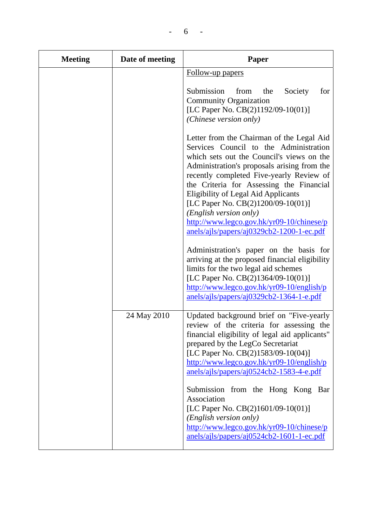| <b>Meeting</b> | Date of meeting | Paper                                                                                                                                                                                                                                                                                                                                                                                                                                                                           |
|----------------|-----------------|---------------------------------------------------------------------------------------------------------------------------------------------------------------------------------------------------------------------------------------------------------------------------------------------------------------------------------------------------------------------------------------------------------------------------------------------------------------------------------|
|                |                 | Follow-up papers                                                                                                                                                                                                                                                                                                                                                                                                                                                                |
|                |                 | Submission<br>from<br>Society<br>the<br>for<br><b>Community Organization</b><br>[LC Paper No. CB(2)1192/09-10(01)]<br>(Chinese version only)                                                                                                                                                                                                                                                                                                                                    |
|                |                 | Letter from the Chairman of the Legal Aid<br>Services Council to the Administration<br>which sets out the Council's views on the<br>Administration's proposals arising from the<br>recently completed Five-yearly Review of<br>the Criteria for Assessing the Financial<br><b>Eligibility of Legal Aid Applicants</b><br>[LC Paper No. CB(2)1200/09-10(01)]<br>(English version only)<br>http://www.legco.gov.hk/yr09-10/chinese/p<br>anels/ajls/papers/aj0329cb2-1200-1-ec.pdf |
|                |                 | Administration's paper on the basis for<br>arriving at the proposed financial eligibility<br>limits for the two legal aid schemes<br>[LC Paper No. CB(2)1364/09-10(01)]<br>$\frac{http://www.legco.gov.hk/yr09-10/english/p}{http://www.legco.gov.hk/yr09-10/english/p}$<br>anels/ajls/papers/aj0329cb2-1364-1-e.pdf                                                                                                                                                            |
|                | 24 May 2010     | Updated background brief on "Five-yearly<br>review of the criteria for assessing the<br>financial eligibility of legal aid applicants"<br>prepared by the LegCo Secretariat<br>[LC Paper No. CB(2)1583/09-10(04)]<br>$\frac{http://www.legco.gov.hk/yr09-10/english/p}{http://www.legco.gov.hk/yr09-10/english/p}$<br>anels/ajls/papers/aj0524cb2-1583-4-e.pdf                                                                                                                  |
|                |                 | Submission from the Hong Kong<br>Bar<br>Association<br>[LC Paper No. CB(2)1601/09-10(01)]<br>(English version only)<br>http://www.legco.gov.hk/yr09-10/chinese/p<br>anels/ajls/papers/aj0524cb2-1601-1-ec.pdf                                                                                                                                                                                                                                                                   |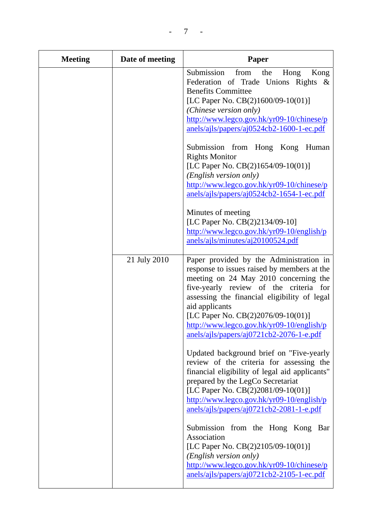| <b>Meeting</b> | Date of meeting | <b>Paper</b>                                                                                                                                                                                                                                                                                                                                                               |
|----------------|-----------------|----------------------------------------------------------------------------------------------------------------------------------------------------------------------------------------------------------------------------------------------------------------------------------------------------------------------------------------------------------------------------|
|                |                 | Submission<br>from<br>the<br>Hong<br>Kong<br>Federation of Trade Unions Rights &<br><b>Benefits Committee</b><br>[LC Paper No. CB(2)1600/09-10(01)]<br>(Chinese version only)<br>http://www.legco.gov.hk/yr09-10/chinese/p<br>anels/ajls/papers/aj0524cb2-1600-1-ec.pdf                                                                                                    |
|                |                 | Submission from Hong Kong<br>Human<br><b>Rights Monitor</b><br>[LC Paper No. $CB(2)1654/09-10(01)$ ]<br>(English version only)<br>http://www.legco.gov.hk/yr09-10/chinese/p<br>anels/ajls/papers/aj0524cb2-1654-1-ec.pdf                                                                                                                                                   |
|                |                 | Minutes of meeting<br>[LC Paper No. CB(2)2134/09-10]<br>$\frac{http://www.legco.gov.hk/yr09-10/english/p}{http://www.legco.gov.hk/yr09-10/english/p}$<br>anels/ajls/minutes/aj20100524.pdf                                                                                                                                                                                 |
|                | 21 July 2010    | Paper provided by the Administration in<br>response to issues raised by members at the<br>meeting on 24 May 2010 concerning the<br>five-yearly review of the criteria for<br>assessing the financial eligibility of legal<br>aid applicants<br>[LC Paper No. CB(2)2076/09-10(01)]<br>http://www.legco.gov.hk/yr09-10/english/p<br>anels/ajls/papers/aj0721cb2-2076-1-e.pdf |
|                |                 | Updated background brief on "Five-yearly<br>review of the criteria for assessing the<br>financial eligibility of legal aid applicants"<br>prepared by the LegCo Secretariat<br>[LC Paper No. CB(2)2081/09-10(01)]<br>http://www.legco.gov.hk/yr09-10/english/p<br>$anels/ails/papers/aj0721cb2-2081-1-e.pdf$                                                               |
|                |                 | Submission from the Hong Kong<br>Bar<br>Association<br>[LC Paper No. CB(2)2105/09-10(01)]<br>(English version only)<br>http://www.legco.gov.hk/yr09-10/chinese/p<br>anels/ajls/papers/aj0721cb2-2105-1-ec.pdf                                                                                                                                                              |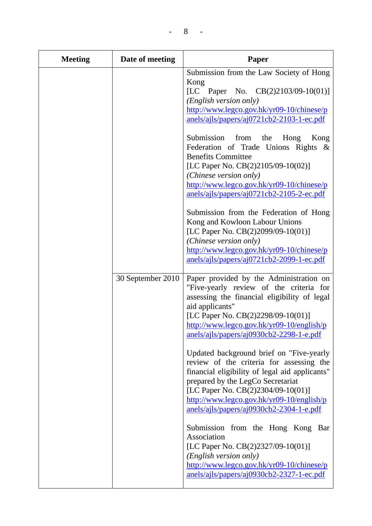| <b>Meeting</b> | Date of meeting                                                                                                                                                                                                                                                                                                                                                 | Paper                                                                                                                                                                                                                                                                                |
|----------------|-----------------------------------------------------------------------------------------------------------------------------------------------------------------------------------------------------------------------------------------------------------------------------------------------------------------------------------------------------------------|--------------------------------------------------------------------------------------------------------------------------------------------------------------------------------------------------------------------------------------------------------------------------------------|
|                |                                                                                                                                                                                                                                                                                                                                                                 | Submission from the Law Society of Hong<br>Kong<br>[LC Paper No. $CB(2)2103/09-10(01)$ ]<br>(English version only)<br>http://www.legco.gov.hk/yr09-10/chinese/p<br>anels/ajls/papers/aj0721cb2-2103-1-ec.pdf                                                                         |
|                |                                                                                                                                                                                                                                                                                                                                                                 | Submission from<br>the<br>Hong<br>Kong<br>Federation of Trade Unions Rights &<br><b>Benefits Committee</b><br>[LC Paper No. $CB(2)2105/09-10(02)$ ]<br>(Chinese version only)<br>http://www.legco.gov.hk/yr09-10/chinese/p<br>anels/ajls/papers/aj0721cb2-2105-2-ec.pdf              |
|                |                                                                                                                                                                                                                                                                                                                                                                 | Submission from the Federation of Hong<br>Kong and Kowloon Labour Unions<br>[LC Paper No. CB(2)2099/09-10(01)]<br>(Chinese version only)<br>http://www.legco.gov.hk/yr09-10/chinese/p<br>anels/ajls/papers/aj0721cb2-2099-1-ec.pdf                                                   |
|                | 30 September 2010                                                                                                                                                                                                                                                                                                                                               | Paper provided by the Administration on<br>"Five-yearly review of the criteria for<br>assessing the financial eligibility of legal<br>aid applicants"<br>[LC Paper No. CB(2)2298/09-10(01)]<br>http://www.legco.gov.hk/yr09-10/english/p<br>anels/ajls/papers/aj0930cb2-2298-1-e.pdf |
|                | Updated background brief on "Five-yearly"<br>review of the criteria for assessing the<br>financial eligibility of legal aid applicants"<br>prepared by the LegCo Secretariat<br>[LC Paper No. CB(2)2304/09-10(01)]<br>$\frac{http://www.legco.gov.hk/yr09-10/english/p}{http://www.legco.gov.hk/yr09-10/english/p}$<br>anels/ajls/papers/aj0930cb2-2304-1-e.pdf |                                                                                                                                                                                                                                                                                      |
|                |                                                                                                                                                                                                                                                                                                                                                                 | Submission from the Hong Kong<br>Bar<br>Association<br>[LC Paper No. CB(2)2327/09-10(01)]<br>(English version only)<br>http://www.legco.gov.hk/yr09-10/chinese/p<br>anels/ajls/papers/aj0930cb2-2327-1-ec.pdf                                                                        |